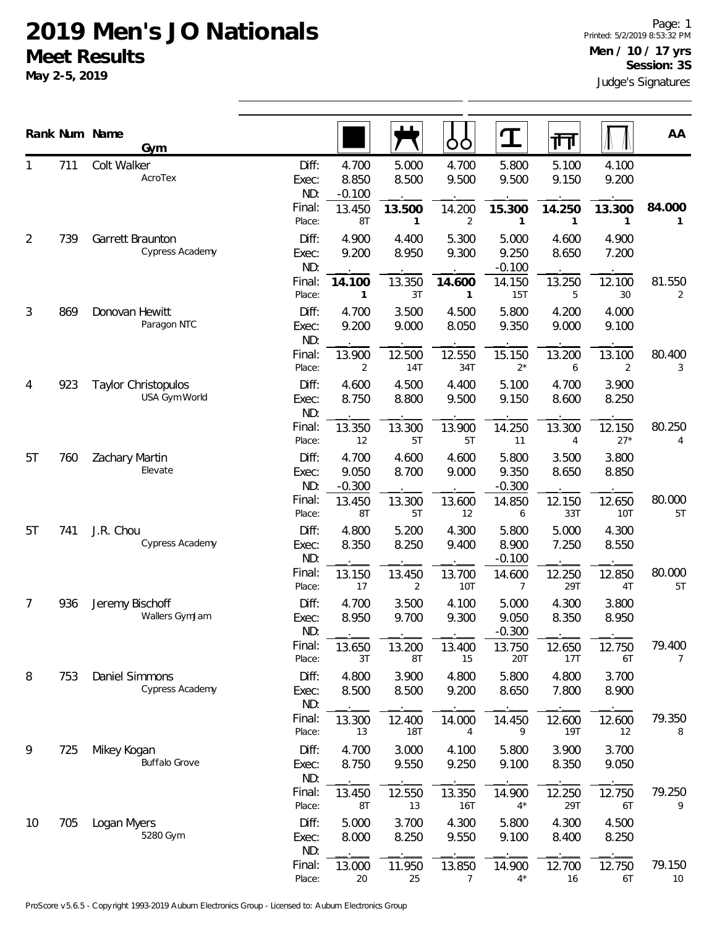|                | Rank Num Name | Gym                                         |                                 |                                      |                          | OO                       | <u>ባ</u>                   | गा                       |                          | AA                       |
|----------------|---------------|---------------------------------------------|---------------------------------|--------------------------------------|--------------------------|--------------------------|----------------------------|--------------------------|--------------------------|--------------------------|
|                | 711           | Colt Walker<br>AcroTex                      | Diff:<br>Exec:<br>ND:<br>Final: | 4.700<br>8.850<br>$-0.100$<br>13.450 | 5.000<br>8.500<br>13.500 | 4.700<br>9.500<br>14.200 | 5.800<br>9.500<br>15.300   | 5.100<br>9.150<br>14.250 | 4.100<br>9.200<br>13.300 | 84.000                   |
| $\overline{2}$ | 739           | Garrett Braunton<br>Cypress Academy         | Place:<br>Diff:<br>Exec:<br>ND: | 8T<br>4.900<br>9.200                 | 1<br>4.400<br>8.950      | 2<br>5.300<br>9.300      | 5.000<br>9.250<br>$-0.100$ | 4.600<br>8.650           | 1<br>4.900<br>7.200      |                          |
|                |               | Final:<br>Place:                            | 14.100<br>$\mathbf{1}$          | 13.350<br>3T                         | 14.600<br>1              | 14.150<br>15T            | 13.250<br>5                | 12.100<br>30             | 81.550<br>2              |                          |
| 3              | 869           | Donovan Hewitt<br>Paragon NTC               | Diff:<br>Exec:<br>ND:           | 4.700<br>9.200                       | 3.500<br>9.000           | 4.500<br>8.050           | 5.800<br>9.350             | 4.200<br>9.000           | 4.000<br>9.100           |                          |
|                |               |                                             | Final:<br>Place:                | 13.900<br>2                          | 12.500<br>14T            | 12.550<br>34T            | 15.150<br>$2^*$            | 13.200<br>6              | 13.100<br>2              | 80.400<br>3              |
| 4              | 923           | <b>Taylor Christopulos</b><br>USA Gym World | Diff:<br>Exec:<br>ND:           | 4.600<br>8.750                       | 4.500<br>8.800           | 4.400<br>9.500           | 5.100<br>9.150             | 4.700<br>8.600           | 3.900<br>8.250           |                          |
|                |               |                                             | Final:<br>Place:                | 13.350<br>12                         | 13.300<br>5T             | 13.900<br>5T             | 14.250<br>11               | 13.300<br>4              | 12.150<br>$27*$          | 80.250<br>4              |
| 5T             | 760           | Zachary Martin<br>Elevate                   | Diff:<br>Exec:<br>ND:           | 4.700<br>9.050<br>$-0.300$           | 4.600<br>8.700           | 4.600<br>9.000           | 5.800<br>9.350<br>$-0.300$ | 3.500<br>8.650           | 3.800<br>8.850           |                          |
|                |               |                                             | Final:<br>Place:                | 13.450<br>8T                         | 13.300<br>5T             | 13.600<br>12             | 14.850<br>6                | 12.150<br>33T            | 12.650<br><b>10T</b>     | 80.000<br>5T             |
| 5T             | 741           | J.R. Chou<br>Cypress Academy                | Diff:<br>Exec:<br>ND:           | 4.800<br>8.350                       | 5.200<br>8.250           | 4.300<br>9.400           | 5.800<br>8.900<br>$-0.100$ | 5.000<br>7.250           | 4.300<br>8.550           |                          |
|                |               |                                             | Final:<br>Place:                | 13.150<br>17                         | 13.450<br>2              | 13.700<br>10T            | 14.600<br>7                | 12.250<br>29T            | 12.850<br>4T             | 80.000<br>5T             |
| 7              | 936           | Jeremy Bischoff<br>Wallers GymJam           | Diff:<br>Exec:<br>ND:           | 4.700<br>8.950                       | 3.500<br>9.700           | 4.100<br>9.300           | 5.000<br>9.050<br>$-0.300$ | 4.300<br>8.350           | 3.800<br>8.950           |                          |
|                |               |                                             | Final:<br>Place:                | 13.650<br>3T                         | 13.200<br>8T             | 13.400<br>15             | 13.750<br>20T              | 12.650<br>17T            | 12.750<br>6T             | 79.400<br>$\overline{7}$ |
| 8              | 753           | <b>Daniel Simmons</b><br>Cypress Academy    | Diff:<br>Exec:<br>ND:           | 4.800<br>8.500                       | 3.900<br>8.500           | 4.800<br>9.200           | 5.800<br>8.650             | 4.800<br>7.800           | 3.700<br>8.900           |                          |
|                |               |                                             | Final:<br>Place:                | 13.300<br>13                         | 12.400<br><b>18T</b>     | 14.000<br>4              | 14.450<br>9                | 12.600<br>19T            | 12.600<br>12             | 79.350<br>8              |
| 9              | 725           | Mikey Kogan<br><b>Buffalo Grove</b>         | Diff:<br>Exec:<br>ND:           | 4.700<br>8.750                       | 3.000<br>9.550           | 4.100<br>9.250           | 5.800<br>9.100             | 3.900<br>8.350           | 3.700<br>9.050           |                          |
|                |               |                                             | Final:<br>Place:                | 13.450<br>8T                         | 12.550<br>13             | 13.350<br>16T            | 14.900<br>$4^*$            | 12.250<br>29T            | 12.750<br>6T             | 79.250<br>9              |
| 10             | 705           | Logan Myers<br>5280 Gym                     | Diff:<br>Exec:<br>ND:           | 5.000<br>8.000                       | 3.700<br>8.250           | 4.300<br>9.550           | 5.800<br>9.100             | 4.300<br>8.400           | 4.500<br>8.250           |                          |
|                |               |                                             | Final:<br>Place:                | 13.000<br>20                         | 11.950<br>25             | 13.850<br>$\overline{7}$ | 14.900<br>$4^*$            | 12.700<br>16             | 12.750<br>6T             | 79.150<br>10             |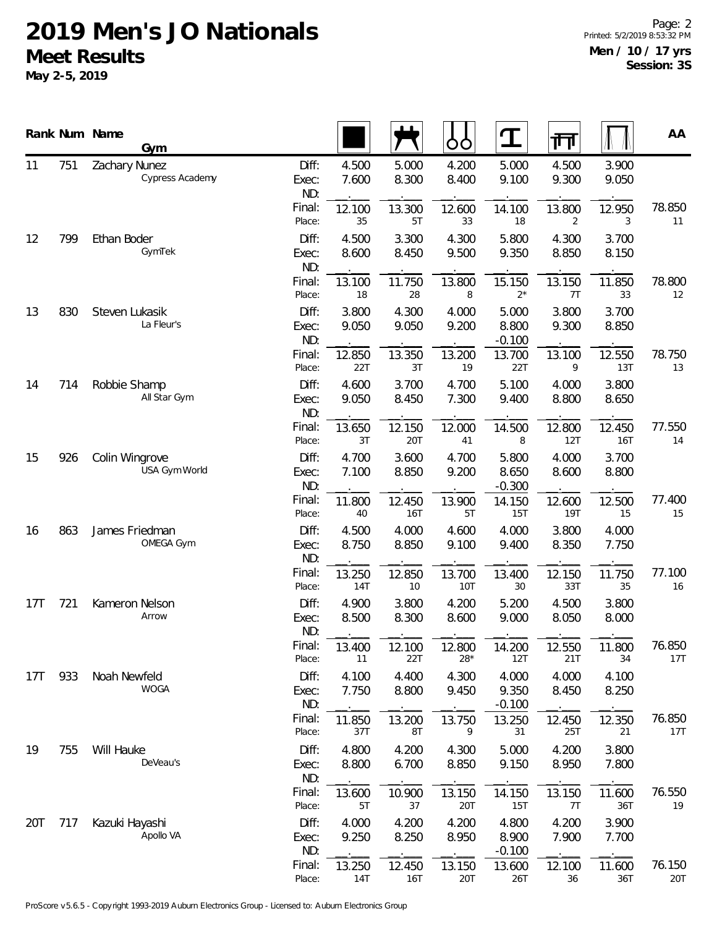|     |     | Rank Num Name<br>Gym             |                       |                |                | OO              | ${\bf T}$                  | 帀                    |                | AA            |
|-----|-----|----------------------------------|-----------------------|----------------|----------------|-----------------|----------------------------|----------------------|----------------|---------------|
| 11  | 751 | Zachary Nunez<br>Cypress Academy | Diff:<br>Exec:<br>ND: | 4.500<br>7.600 | 5.000<br>8.300 | 4.200<br>8.400  | 5.000<br>9.100             | 4.500<br>9.300       | 3.900<br>9.050 |               |
|     |     |                                  | Final:<br>Place:      | 12.100<br>35   | 13.300<br>5T   | 12.600<br>33    | 14.100<br>18               | 13.800<br>2          | 12.950<br>3    | 78.850<br>11  |
| 12  | 799 | Ethan Boder<br>GymTek            | Diff:<br>Exec:<br>ND: | 4.500<br>8.600 | 3.300<br>8.450 | 4.300<br>9.500  | 5.800<br>9.350             | 4.300<br>8.850       | 3.700<br>8.150 |               |
|     |     |                                  | Final:<br>Place:      | 13.100<br>18   | 11.750<br>28   | 13.800<br>8     | 15.150<br>$2^*$            | 13.150<br>7T         | 11.850<br>33   | 78.800<br>12  |
| 13  | 830 | Steven Lukasik<br>La Fleur's     | Diff:<br>Exec:<br>ND: | 3.800<br>9.050 | 4.300<br>9.050 | 4.000<br>9.200  | 5.000<br>8.800<br>$-0.100$ | 3.800<br>9.300       | 3.700<br>8.850 |               |
|     |     |                                  | Final:<br>Place:      | 12.850<br>22T  | 13.350<br>3T   | 13.200<br>19    | 13.700<br>22T              | 13.100<br>9          | 12.550<br>13T  | 78.750<br>13  |
| 14  | 714 | Robbie Shamp<br>All Star Gym     | Diff:<br>Exec:<br>ND: | 4.600<br>9.050 | 3.700<br>8.450 | 4.700<br>7.300  | 5.100<br>9.400             | 4.000<br>8.800       | 3.800<br>8.650 |               |
|     |     |                                  | Final:<br>Place:      | 13.650<br>3T   | 12.150<br>20T  | 12.000<br>41    | 14.500<br>8                | 12.800<br>12T        | 12.450<br>16T  | 77.550<br>14  |
| 15  | 926 | Colin Wingrove<br>USA Gym World  | Diff:<br>Exec:<br>ND: | 4.700<br>7.100 | 3.600<br>8.850 | 4.700<br>9.200  | 5.800<br>8.650<br>$-0.300$ | 4.000<br>8.600       | 3.700<br>8.800 |               |
|     |     |                                  | Final:<br>Place:      | 11.800<br>40   | 12.450<br>16T  | 13.900<br>5T    | 14.150<br>15T              | 12.600<br><b>19T</b> | 12.500<br>15   | 77.400<br>15  |
| 16  | 863 | James Friedman<br>OMEGA Gym      | Diff:<br>Exec:<br>ND: | 4.500<br>8.750 | 4.000<br>8.850 | 4.600<br>9.100  | 4.000<br>9.400             | 3.800<br>8.350       | 4.000<br>7.750 |               |
|     |     |                                  | Final:<br>Place:      | 13.250<br>14T  | 12.850<br>10   | 13.700<br>10T   | 13.400<br>30               | 12.150<br>33T        | 11.750<br>35   | 77.100<br>16  |
| 17T | 721 | Kameron Nelson<br>Arrow          | Diff:<br>Exec:<br>ND: | 4.900<br>8.500 | 3.800<br>8.300 | 4.200<br>8.600  | 5.200<br>9.000             | 4.500<br>8.050       | 3.800<br>8.000 |               |
|     |     |                                  | Final:<br>Place:      | 13.400<br>11   | 12.100<br>22T  | 12.800<br>$28*$ | 14.200<br>12T              | 12.550<br>21T        | 11.800<br>34   | 76.850<br>17T |
| 17T | 933 | Noah Newfeld<br><b>WOGA</b>      | Diff:<br>Exec:<br>ND: | 4.100<br>7.750 | 4.400<br>8.800 | 4.300<br>9.450  | 4.000<br>9.350<br>$-0.100$ | 4.000<br>8.450       | 4.100<br>8.250 |               |
|     |     |                                  | Final:<br>Place:      | 11.850<br>37T  | 13.200<br>8T   | 13.750<br>9     | 13.250<br>31               | 12.450<br>25T        | 12.350<br>21   | 76.850<br>17T |
| 19  | 755 | Will Hauke<br>DeVeau's           | Diff:<br>Exec:<br>ND: | 4.800<br>8.800 | 4.200<br>6.700 | 4.300<br>8.850  | 5.000<br>9.150             | 4.200<br>8.950       | 3.800<br>7.800 |               |
|     |     |                                  | Final:<br>Place:      | 13.600<br>5T   | 10.900<br>37   | 13.150<br>20T   | 14.150<br>15T              | 13.150<br>7T         | 11.600<br>36T  | 76.550<br>19  |
| 20T | 717 | Kazuki Hayashi<br>Apollo VA      | Diff:<br>Exec:<br>ND: | 4.000<br>9.250 | 4.200<br>8.250 | 4.200<br>8.950  | 4.800<br>8.900<br>$-0.100$ | 4.200<br>7.900       | 3.900<br>7.700 |               |
|     |     |                                  | Final:<br>Place:      | 13.250<br>14T  | 12.450<br>16T  | 13.150<br>20T   | 13.600<br>26T              | 12.100<br>36         | 11.600<br>36T  | 76.150<br>20T |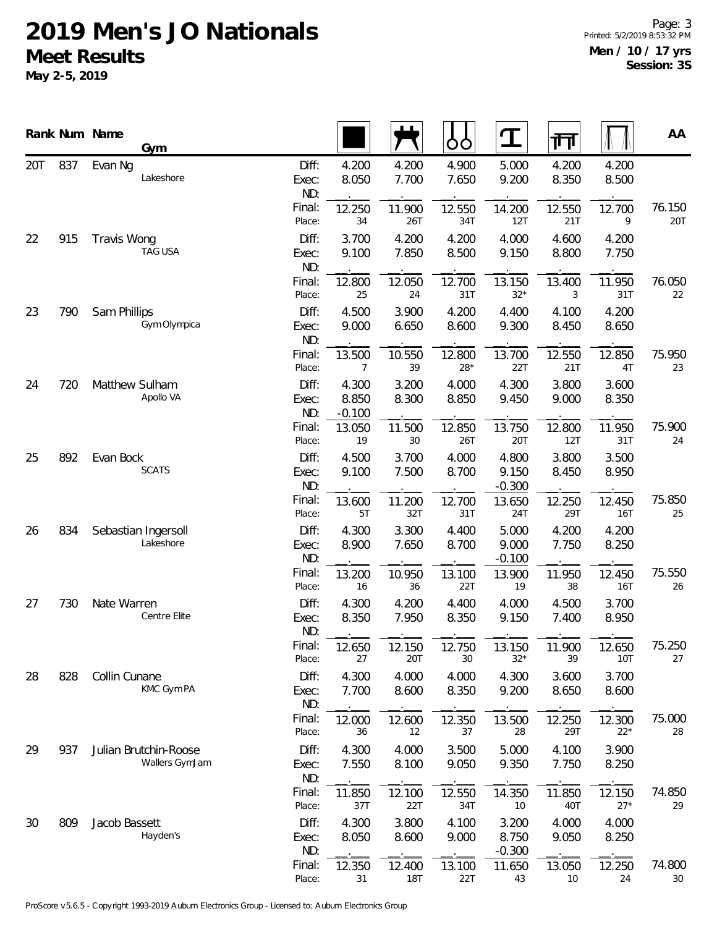|     |     | Rank Num Name      | Gym                                     |                       |                            |                      | ŌÒ              | T                          | गा             |                 | AA            |
|-----|-----|--------------------|-----------------------------------------|-----------------------|----------------------------|----------------------|-----------------|----------------------------|----------------|-----------------|---------------|
| 20T | 837 | Evan Ng            | Lakeshore                               | Diff:<br>Exec:<br>ND: | 4.200<br>8.050             | 4.200<br>7.700       | 4.900<br>7.650  | 5.000<br>9.200             | 4.200<br>8.350 | 4.200<br>8.500  |               |
|     |     |                    |                                         | Final:<br>Place:      | 12.250<br>34               | 11.900<br>26T        | 12.550<br>34T   | 14.200<br>12T              | 12.550<br>21T  | 12.700<br>9     | 76.150<br>20T |
| 22  | 915 | <b>Travis Wong</b> | <b>TAG USA</b>                          | Diff:<br>Exec:<br>ND: | 3.700<br>9.100             | 4.200<br>7.850       | 4.200<br>8.500  | 4.000<br>9.150             | 4.600<br>8.800 | 4.200<br>7.750  |               |
|     |     |                    |                                         | Final:<br>Place:      | 12.800<br>25               | 12.050<br>24         | 12.700<br>31T   | 13.150<br>$32*$            | 13.400<br>3    | 11.950<br>31T   | 76.050<br>22  |
| 23  | 790 | Sam Phillips       | Gym Olympica                            | Diff:<br>Exec:<br>ND: | 4.500<br>9.000             | 3.900<br>6.650       | 4.200<br>8.600  | 4.400<br>9.300             | 4.100<br>8.450 | 4.200<br>8.650  |               |
|     |     |                    |                                         | Final:<br>Place:      | 13.500<br>7                | 10.550<br>39         | 12.800<br>$28*$ | 13.700<br>22T              | 12.550<br>21T  | 12.850<br>4T    | 75.950<br>23  |
| 24  | 720 | Matthew Sulham     | Apollo VA                               | Diff:<br>Exec:<br>ND: | 4.300<br>8.850<br>$-0.100$ | 3.200<br>8.300       | 4.000<br>8.850  | 4.300<br>9.450             | 3.800<br>9.000 | 3.600<br>8.350  |               |
|     |     |                    |                                         | Final:<br>Place:      | 13.050<br>19               | 11.500<br>30         | 12.850<br>26T   | 13.750<br>20T              | 12.800<br>12T  | 11.950<br>31T   | 75.900<br>24  |
| 25  | 892 | Evan Bock          | <b>SCATS</b>                            | Diff:<br>Exec:<br>ND: | 4.500<br>9.100             | 3.700<br>7.500       | 4.000<br>8.700  | 4.800<br>9.150<br>$-0.300$ | 3.800<br>8.450 | 3.500<br>8.950  |               |
|     |     |                    |                                         | Final:<br>Place:      | 13.600<br>5T               | 11.200<br>32T        | 12.700<br>31T   | 13.650<br>24T              | 12.250<br>29T  | 12.450<br>16T   | 75.850<br>25  |
| 26  | 834 |                    | Sebastian Ingersoll<br>Lakeshore        | Diff:<br>Exec:<br>ND: | 4.300<br>8.900             | 3.300<br>7.650       | 4.400<br>8.700  | 5.000<br>9.000<br>$-0.100$ | 4.200<br>7.750 | 4.200<br>8.250  |               |
|     |     |                    |                                         | Final:<br>Place:      | 13.200<br>16               | 10.950<br>36         | 13.100<br>22T   | 13.900<br>19               | 11.950<br>38   | 12.450<br>16T   | 75.550<br>26  |
| 27  | 730 | Nate Warren        | Centre Elite                            | Diff:<br>Exec:<br>ND: | 4.300<br>8.350             | 4.200<br>7.950       | 4.400<br>8.350  | 4.000<br>9.150             | 4.500<br>7.400 | 3.700<br>8.950  |               |
|     |     |                    |                                         | Final:<br>Place:      | 12.650<br>27               | 12.150<br>20T        | 12.750<br>30    | 13.150<br>$32*$            | 11.900<br>39   | 12.650<br>10T   | 75.250<br>27  |
| 28  | 828 | Collin Cunane      | KMC Gym PA                              | Diff:<br>Exec:<br>ND: | 4.300<br>7.700             | 4.000<br>8.600       | 4.000<br>8.350  | 4.300<br>9.200             | 3.600<br>8.650 | 3.700<br>8.600  |               |
|     |     |                    |                                         | Final:<br>Place:      | 12.000<br>36               | 12.600<br>12         | 12.350<br>37    | 13.500<br>28               | 12.250<br>29T  | 12.300<br>$22*$ | 75.000<br>28  |
| 29  | 937 |                    | Julian Brutchin-Roose<br>Wallers GymJam | Diff:<br>Exec:<br>ND: | 4.300<br>7.550             | 4.000<br>8.100       | 3.500<br>9.050  | 5.000<br>9.350             | 4.100<br>7.750 | 3.900<br>8.250  |               |
|     |     |                    |                                         | Final:<br>Place:      | 11.850<br>37T              | 12.100<br>22T        | 12.550<br>34T   | 14.350<br>10               | 11.850<br>40T  | 12.150<br>$27*$ | 74.850<br>29  |
| 30  | 809 | Jacob Bassett      | Hayden's                                | Diff:<br>Exec:<br>ND: | 4.300<br>8.050             | 3.800<br>8.600       | 4.100<br>9.000  | 3.200<br>8.750<br>$-0.300$ | 4.000<br>9.050 | 4.000<br>8.250  |               |
|     |     |                    |                                         | Final:<br>Place:      | 12.350<br>31               | 12.400<br><b>18T</b> | 13.100<br>22T   | 11.650<br>43               | 13.050<br>10   | 12.250<br>24    | 74.800<br>30  |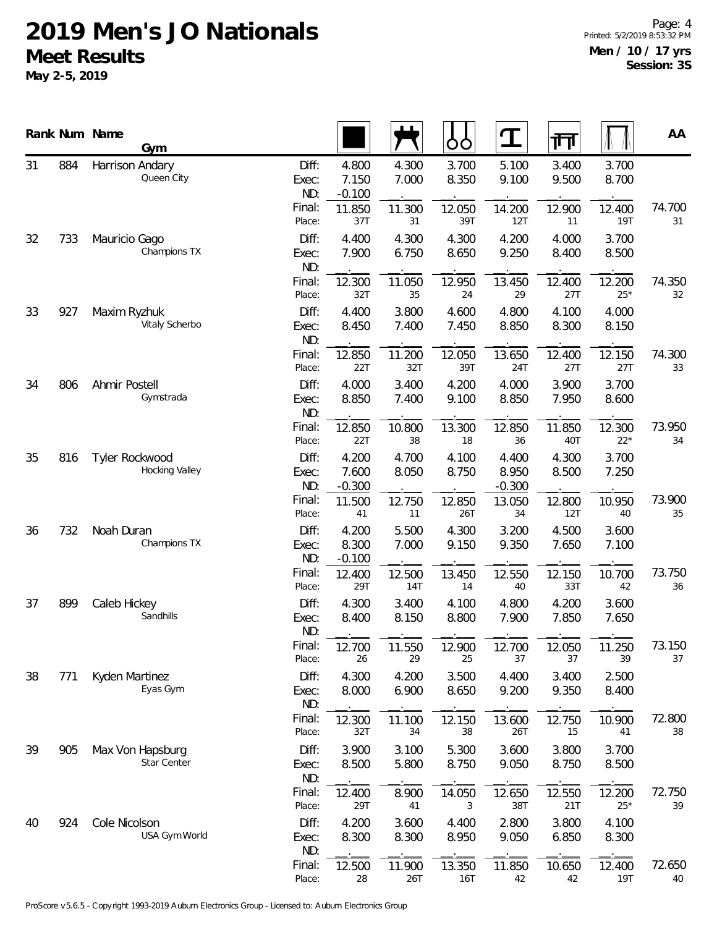|    |     | Rank Num Name<br>Gym             |                       |                            |                | ბბ             | $\mathbf T$                | गि             |                      | AA           |
|----|-----|----------------------------------|-----------------------|----------------------------|----------------|----------------|----------------------------|----------------|----------------------|--------------|
| 31 | 884 | Harrison Andary<br>Queen City    | Diff:<br>Exec:<br>ND: | 4.800<br>7.150<br>$-0.100$ | 4.300<br>7.000 | 3.700<br>8.350 | 5.100<br>9.100             | 3.400<br>9.500 | 3.700<br>8.700       |              |
|    |     |                                  | Final:<br>Place:      | 11.850<br>37T              | 11.300<br>31   | 12.050<br>39T  | 14.200<br>12T              | 12.900<br>11   | 12.400<br><b>19T</b> | 74.700<br>31 |
| 32 | 733 | Mauricio Gago<br>Champions TX    | Diff:<br>Exec:<br>ND: | 4.400<br>7.900             | 4.300<br>6.750 | 4.300<br>8.650 | 4.200<br>9.250             | 4.000<br>8.400 | 3.700<br>8.500       |              |
|    |     |                                  | Final:<br>Place:      | 12.300<br>32T              | 11.050<br>35   | 12.950<br>24   | 13.450<br>29               | 12.400<br>27T  | 12.200<br>$25*$      | 74.350<br>32 |
| 33 | 927 | Maxim Ryzhuk<br>Vitaly Scherbo   | Diff:<br>Exec:<br>ND: | 4.400<br>8.450             | 3.800<br>7.400 | 4.600<br>7.450 | 4.800<br>8.850             | 4.100<br>8.300 | 4.000<br>8.150       |              |
|    |     |                                  | Final:<br>Place:      | 12.850<br>22T              | 11.200<br>32T  | 12.050<br>39T  | 13.650<br>24T              | 12.400<br>27T  | 12.150<br>27T        | 74.300<br>33 |
| 34 | 806 | Ahmir Postell<br>Gymstrada       | Diff:<br>Exec:<br>ND: | 4.000<br>8.850             | 3.400<br>7.400 | 4.200<br>9.100 | 4.000<br>8.850             | 3.900<br>7.950 | 3.700<br>8.600       |              |
|    |     |                                  | Final:<br>Place:      | 12.850<br>22T              | 10.800<br>38   | 13.300<br>18   | 12.850<br>36               | 11.850<br>40T  | 12.300<br>$22*$      | 73.950<br>34 |
| 35 | 816 | Tyler Rockwood<br>Hocking Valley | Diff:<br>Exec:<br>ND: | 4.200<br>7.600<br>$-0.300$ | 4.700<br>8.050 | 4.100<br>8.750 | 4.400<br>8.950<br>$-0.300$ | 4.300<br>8.500 | 3.700<br>7.250       |              |
|    |     |                                  | Final:<br>Place:      | 11.500<br>41               | 12.750<br>11   | 12.850<br>26T  | 13.050<br>34               | 12.800<br>12T  | 10.950<br>40         | 73.900<br>35 |
| 36 | 732 | Noah Duran<br>Champions TX       | Diff:<br>Exec:<br>ND: | 4.200<br>8.300<br>$-0.100$ | 5.500<br>7.000 | 4.300<br>9.150 | 3.200<br>9.350             | 4.500<br>7.650 | 3.600<br>7.100       |              |
|    |     |                                  | Final:<br>Place:      | 12.400<br>29T              | 12.500<br>14T  | 13.450<br>14   | 12.550<br>40               | 12.150<br>33T  | 10.700<br>42         | 73.750<br>36 |
| 37 | 899 | Caleb Hickey<br>Sandhills        | Diff:<br>Exec:<br>ND: | 4.300<br>8.400             | 3.400<br>8.150 | 4.100<br>8.800 | 4.800<br>7.900             | 4.200<br>7.850 | 3.600<br>7.650       |              |
|    |     |                                  | Final:<br>Place:      | 12.700<br>26               | 11.550<br>29   | 12.900<br>25   | 12.700<br>37               | 12.050<br>37   | 11.250<br>39         | 73.150<br>37 |
| 38 | 771 | Kyden Martinez<br>Eyas Gym       | Diff:<br>Exec:<br>ND: | 4.300<br>8.000             | 4.200<br>6.900 | 3.500<br>8.650 | 4.400<br>9.200             | 3.400<br>9.350 | 2.500<br>8.400       |              |
|    |     |                                  | Final:<br>Place:      | 12.300<br>32T              | 11.100<br>34   | 12.150<br>38   | 13.600<br>26T              | 12.750<br>15   | 10.900<br>41         | 72.800<br>38 |
| 39 | 905 | Max Von Hapsburg<br>Star Center  | Diff:<br>Exec:<br>ND: | 3.900<br>8.500             | 3.100<br>5.800 | 5.300<br>8.750 | 3.600<br>9.050             | 3.800<br>8.750 | 3.700<br>8.500       |              |
|    |     |                                  | Final:<br>Place:      | 12.400<br>29T              | 8.900<br>41    | 14.050<br>3    | 12.650<br>38T              | 12.550<br>21T  | 12.200<br>$25*$      | 72.750<br>39 |
| 40 | 924 | Cole Nicolson<br>USA Gym World   | Diff:<br>Exec:<br>ND: | 4.200<br>8.300             | 3.600<br>8.300 | 4.400<br>8.950 | 2.800<br>9.050             | 3.800<br>6.850 | 4.100<br>8.300       |              |
|    |     |                                  | Final:<br>Place:      | 12.500<br>28               | 11.900<br>26T  | 13.350<br>16T  | 11.850<br>42               | 10.650<br>42   | 12.400<br>19T        | 72.650<br>40 |